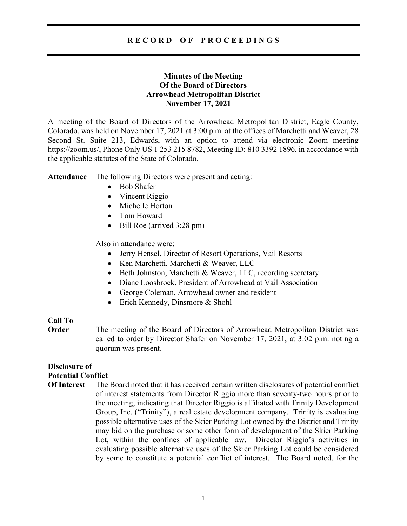# R E C O R D O F P R O C E E D I N G S

# Minutes of the Meeting Of the Board of Directors Arrowhead Metropolitan District November 17, 2021

A meeting of the Board of Directors of the Arrowhead Metropolitan District, Eagle County, Colorado, was held on November 17, 2021 at 3:00 p.m. at the offices of Marchetti and Weaver, 28 Second St, Suite 213, Edwards, with an option to attend via electronic Zoom meeting https://zoom.us/, Phone Only US 1 253 215 8782, Meeting ID: 810 3392 1896, in accordance with the applicable statutes of the State of Colorado.

Attendance The following Directors were present and acting:

- Bob Shafer
- Vincent Riggio
- Michelle Horton
- Tom Howard
- Bill Roe (arrived 3:28 pm)

Also in attendance were:

- Jerry Hensel, Director of Resort Operations, Vail Resorts
- Ken Marchetti, Marchetti & Weaver, LLC
- Beth Johnston, Marchetti & Weaver, LLC, recording secretary
- Diane Loosbrock, President of Arrowhead at Vail Association
- George Coleman, Arrowhead owner and resident
- Erich Kennedy, Dinsmore & Shohl

## Call To

**Order** The meeting of the Board of Directors of Arrowhead Metropolitan District was called to order by Director Shafer on November 17, 2021, at 3:02 p.m. noting a quorum was present.

# Disclosure of Potential Conflict

Of Interest The Board noted that it has received certain written disclosures of potential conflict of interest statements from Director Riggio more than seventy-two hours prior to the meeting, indicating that Director Riggio is affiliated with Trinity Development Group, Inc. ("Trinity"), a real estate development company. Trinity is evaluating possible alternative uses of the Skier Parking Lot owned by the District and Trinity may bid on the purchase or some other form of development of the Skier Parking Lot, within the confines of applicable law. Director Riggio's activities in evaluating possible alternative uses of the Skier Parking Lot could be considered by some to constitute a potential conflict of interest. The Board noted, for the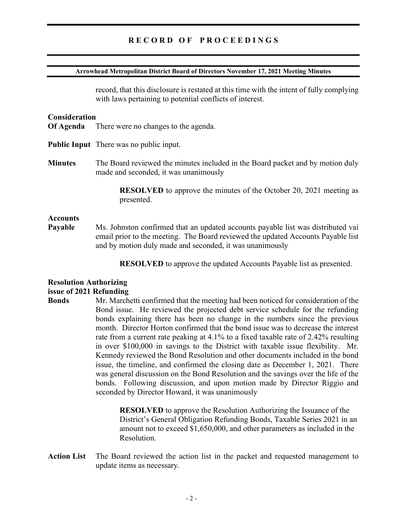# RECORD OF PROCEEDINGS

#### Arrowhead Metropolitan District Board of Directors November 17, 2021 Meeting Minutes

record, that this disclosure is restated at this time with the intent of fully complying with laws pertaining to potential conflicts of interest.

### **Consideration**

- Of Agenda There were no changes to the agenda.
- Public Input There was no public input.
- Minutes The Board reviewed the minutes included in the Board packet and by motion duly made and seconded, it was unanimously

 RESOLVED to approve the minutes of the October 20, 2021 meeting as presented.

### **Accounts**

Payable Ms. Johnston confirmed that an updated accounts payable list was distributed vai email prior to the meeting. The Board reviewed the updated Accounts Payable list and by motion duly made and seconded, it was unanimously

RESOLVED to approve the updated Accounts Payable list as presented.

### Resolution Authorizing

#### issue of 2021 Refunding

Bonds Mr. Marchetti confirmed that the meeting had been noticed for consideration of the Bond issue. He reviewed the projected debt service schedule for the refunding bonds explaining there has been no change in the numbers since the previous month. Director Horton confirmed that the bond issue was to decrease the interest rate from a current rate peaking at 4.1% to a fixed taxable rate of 2.42% resulting in over \$100,000 in savings to the District with taxable issue flexibility. Mr. Kennedy reviewed the Bond Resolution and other documents included in the bond issue, the timeline, and confirmed the closing date as December 1, 2021. There was general discussion on the Bond Resolution and the savings over the life of the bonds. Following discussion, and upon motion made by Director Riggio and seconded by Director Howard, it was unanimously

> RESOLVED to approve the Resolution Authorizing the Issuance of the District's General Obligation Refunding Bonds, Taxable Series 2021 in an amount not to exceed \$1,650,000, and other parameters as included in the Resolution.

Action List The Board reviewed the action list in the packet and requested management to update items as necessary.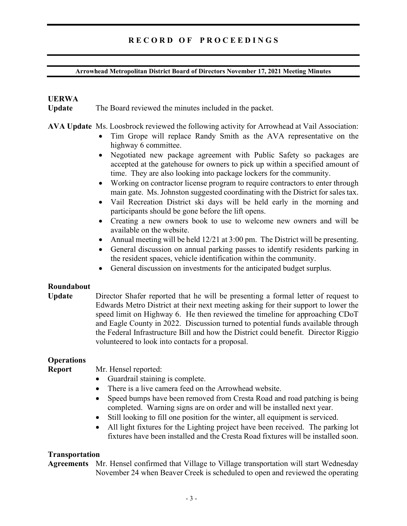# RECORD OF PROCEEDINGS

### Arrowhead Metropolitan District Board of Directors November 17, 2021 Meeting Minutes

# UERWA

Update The Board reviewed the minutes included in the packet.

## AVA Update Ms. Loosbrock reviewed the following activity for Arrowhead at Vail Association:

- Tim Grope will replace Randy Smith as the AVA representative on the highway 6 committee.
- Negotiated new package agreement with Public Safety so packages are accepted at the gatehouse for owners to pick up within a specified amount of time. They are also looking into package lockers for the community.
- Working on contractor license program to require contractors to enter through main gate. Ms. Johnston suggested coordinating with the District for sales tax.
- Vail Recreation District ski days will be held early in the morning and participants should be gone before the lift opens.
- Creating a new owners book to use to welcome new owners and will be available on the website.
- Annual meeting will be held 12/21 at 3:00 pm. The District will be presenting.
- General discussion on annual parking passes to identify residents parking in the resident spaces, vehicle identification within the community.
- General discussion on investments for the anticipated budget surplus.

## Roundabout

Update Director Shafer reported that he will be presenting a formal letter of request to Edwards Metro District at their next meeting asking for their support to lower the speed limit on Highway 6. He then reviewed the timeline for approaching CDoT and Eagle County in 2022. Discussion turned to potential funds available through the Federal Infrastructure Bill and how the District could benefit. Director Riggio volunteered to look into contacts for a proposal.

# **Operations**

Report Mr. Hensel reported:

- Guardrail staining is complete.
- There is a live camera feed on the Arrowhead website.
- Speed bumps have been removed from Cresta Road and road patching is being completed. Warning signs are on order and will be installed next year.
- Still looking to fill one position for the winter, all equipment is serviced.
- All light fixtures for the Lighting project have been received. The parking lot fixtures have been installed and the Cresta Road fixtures will be installed soon.

## Transportation

Agreements Mr. Hensel confirmed that Village to Village transportation will start Wednesday November 24 when Beaver Creek is scheduled to open and reviewed the operating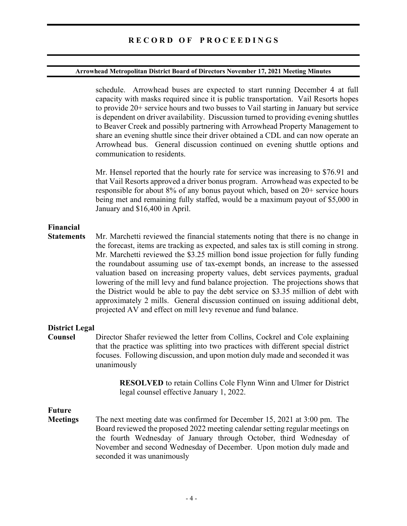#### Arrowhead Metropolitan District Board of Directors November 17, 2021 Meeting Minutes

schedule. Arrowhead buses are expected to start running December 4 at full capacity with masks required since it is public transportation. Vail Resorts hopes to provide 20+ service hours and two busses to Vail starting in January but service is dependent on driver availability. Discussion turned to providing evening shuttles to Beaver Creek and possibly partnering with Arrowhead Property Management to share an evening shuttle since their driver obtained a CDL and can now operate an Arrowhead bus. General discussion continued on evening shuttle options and communication to residents.

 Mr. Hensel reported that the hourly rate for service was increasing to \$76.91 and that Vail Resorts approved a driver bonus program. Arrowhead was expected to be responsible for about 8% of any bonus payout which, based on 20+ service hours being met and remaining fully staffed, would be a maximum payout of \$5,000 in January and \$16,400 in April.

# Financial

Statements Mr. Marchetti reviewed the financial statements noting that there is no change in the forecast, items are tracking as expected, and sales tax is still coming in strong. Mr. Marchetti reviewed the \$3.25 million bond issue projection for fully funding the roundabout assuming use of tax-exempt bonds, an increase to the assessed valuation based on increasing property values, debt services payments, gradual lowering of the mill levy and fund balance projection. The projections shows that the District would be able to pay the debt service on \$3.35 million of debt with approximately 2 mills. General discussion continued on issuing additional debt, projected AV and effect on mill levy revenue and fund balance.

### District Legal

Counsel Director Shafer reviewed the letter from Collins, Cockrel and Cole explaining that the practice was splitting into two practices with different special district focuses. Following discussion, and upon motion duly made and seconded it was unanimously

> RESOLVED to retain Collins Cole Flynn Winn and Ulmer for District legal counsel effective January 1, 2022.

# Future

Meetings The next meeting date was confirmed for December 15, 2021 at 3:00 pm. The Board reviewed the proposed 2022 meeting calendar setting regular meetings on the fourth Wednesday of January through October, third Wednesday of November and second Wednesday of December. Upon motion duly made and seconded it was unanimously